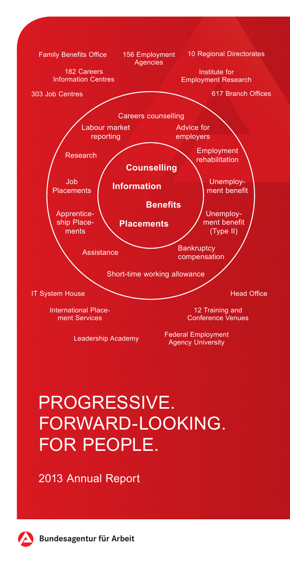

# PROGRESSIVE. FORWARD-LOOKING. FOR PEOPLE.

2013 Annual Report



**Bundesagentur für Arbeit**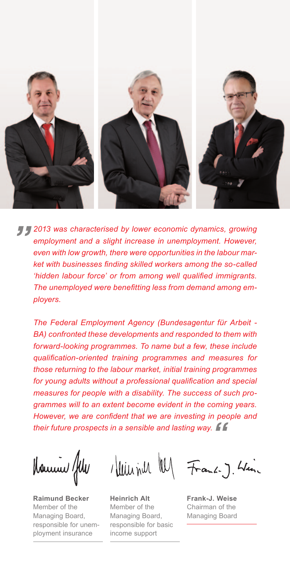

*2013 was characterised by lower economic dynamics, growing employment and a slight increase in unemployment. However, even with low growth, there were opportunities in the labour market with businesses finding skilled workers among the so-called 'hidden labour force' or from among well qualified immigrants. The unemployed were benefitting less from demand among employers.*

*The Federal Employment Agency (Bundesagentur für Arbeit - BA) confronted these developments and responded to them with forward-looking programmes. To name but a few, these include qualification-oriented training programmes and measures for those returning to the labour market, initial training programmes for young adults without a professional qualification and special measures for people with a disability. The success of such programmes will to an extent become evident in the coming years. However, we are confident that we are investing in people and their future prospects in a sensible and lasting way.* 

Homme fel

**Raimund Becker** Member of the Managing Board, responsible for unemployment insurance

**Heinrich Alt**  Member of the Managing Board, responsible for basic income support

Illiliant My Frank-J. King

**Frank-J. Weise** Chairman of the Managing Board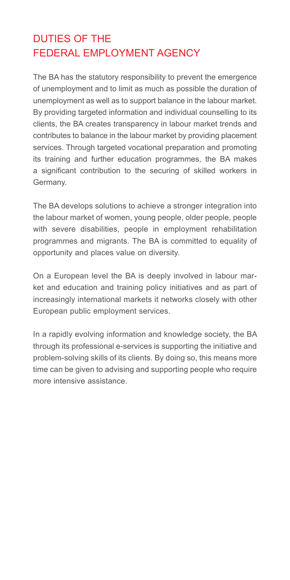# DUTIES OF THE FEDERAL EMPLOYMENT AGENCY

The BA has the statutory responsibility to prevent the emergence of unemployment and to limit as much as possible the duration of unemployment as well as to support balance in the labour market. By providing targeted information and individual counselling to its clients, the BA creates transparency in labour market trends and contributes to balance in the labour market by providing placement services. Through targeted vocational preparation and promoting its training and further education programmes, the BA makes a significant contribution to the securing of skilled workers in Germany.

The BA develops solutions to achieve a stronger integration into the labour market of women, young people, older people, people with severe disabilities, people in employment rehabilitation programmes and migrants. The BA is committed to equality of opportunity and places value on diversity.

On a European level the BA is deeply involved in labour market and education and training policy initiatives and as part of increasingly international markets it networks closely with other European public employment services.

In a rapidly evolving information and knowledge society, the BA through its professional e-services is supporting the initiative and problem-solving skills of its clients. By doing so, this means more time can be given to advising and supporting people who require more intensive assistance.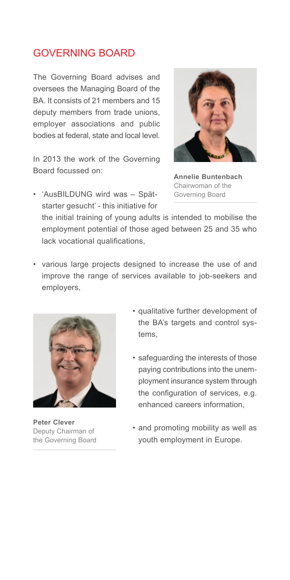### GOVERNING BOARD

The Governing Board advises and oversees the Managing Board of the BA. It consists of 21 members and 15 deputy members from trade unions, employer associations and public bodies at federal, state and local level.

In 2013 the work of the Governing Board focussed on:



**Annelie Buntenbach** Chairwoman of the Governing Board

• 'AusBILDUNG wird was – Spätstarter gesucht' - this initiative for

the initial training of young adults is intended to mobilise the employment potential of those aged between 25 and 35 who lack vocational qualifications.

• various large projects designed to increase the use of and improve the range of services available to job-seekers and employers,



**Peter Clever** Deputy Chairman of the Governing Board

- • qualitative further development of the BA's targets and control systems,
- • safeguarding the interests of those paying contributions into the unemployment insurance system through the configuration of services, e.g. enhanced careers information,
- and promoting mobility as well as youth employment in Europe.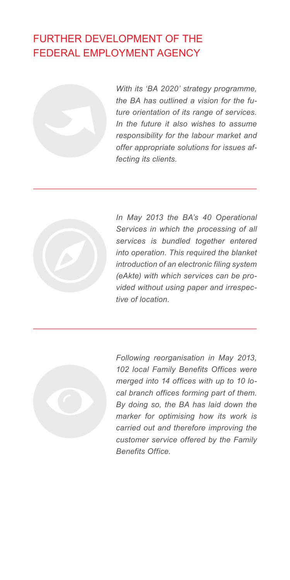# FURTHER DEVELOPMENT OF THE FEDERAL EMPLOYMENT AGENCY



*With its 'BA 2020' strategy programme, the BA has outlined a vision for the future orientation of its range of services. In the future it also wishes to assume responsibility for the labour market and offer appropriate solutions for issues affecting its clients.*



*In May 2013 the BA's 40 Operational Services in which the processing of all services is bundled together entered into operation. This required the blanket introduction of an electronic filing system (eAkte) with which services can be provided without using paper and irrespective of location.*



*Following reorganisation in May 2013, 102 local Family Benefits Offices were merged into 14 offices with up to 10 local branch offices forming part of them. By doing so, the BA has laid down the marker for optimising how its work is carried out and therefore improving the customer service offered by the Family Benefits Office.*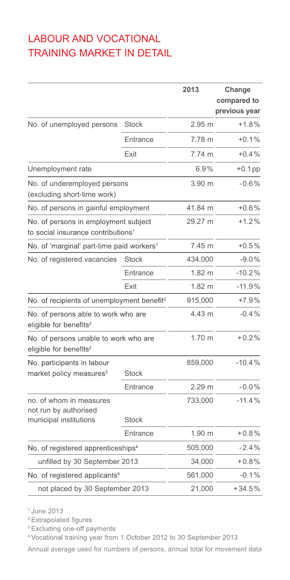# LABOUR AND VOCATIONAL TRAINING MARKET IN DETAIL

|                                                                                        |              | 2013              | Change<br>compared to<br>previous year |
|----------------------------------------------------------------------------------------|--------------|-------------------|----------------------------------------|
| No. of unemployed persons                                                              | <b>Stock</b> | $2.95$ m          | $+1.8%$                                |
|                                                                                        | Entrance     | 7.78 m            | $+0.1%$                                |
|                                                                                        | Exit         | 7.74 m            | $+0.4%$                                |
| Unemployment rate                                                                      |              | 6.9%              | $+0.1$ pp                              |
| No. of underemployed persons<br>(excluding short-time work)                            |              | 3.90 m            | $-0.6%$                                |
| No. of persons in gainful employment                                                   |              | 41.84 m           | $+0.6%$                                |
| No. of persons in employment subject<br>to social insurance contributions <sup>1</sup> |              | 29.27 m           | $+1.2%$                                |
| No. of 'marginal' part-time paid workers <sup>1</sup>                                  |              | 7.45 m            | $+0.5%$                                |
| No. of registered vacancies                                                            | <b>Stock</b> | 434,000           | $-9.0%$                                |
|                                                                                        | Entrance     | $1.82 \text{ m}$  | $-10.2%$                               |
|                                                                                        | Exit         | $1.82 \text{ m}$  | $-11.9%$                               |
| No. of recipients of unemployment benefit <sup>2</sup>                                 |              | 915,000           | $+7.9%$                                |
| No. of persons able to work who are<br>eligible for benefits <sup>2</sup>              |              | 4.43 m            | $-0.4%$                                |
| No. of persons unable to work who are<br>eligible for benefits <sup>2</sup>            |              | 1.70 m            | $+0.2%$                                |
| No. participants in labour<br>market policy measures <sup>3</sup>                      | <b>Stock</b> | 859,000           | $-10.4%$                               |
|                                                                                        | Entrance     | 2.29 <sub>m</sub> | $-0.0%$                                |
| no, of whom in measures<br>not run by authorised<br>municipal institutions             | <b>Stock</b> | 733,000           | $-11.4%$                               |
|                                                                                        | Entrance     | 1.90 m            | $+0.8%$                                |
|                                                                                        |              | 505,000           | $-2.4%$                                |
| No. of registered apprenticeships <sup>4</sup><br>unfilled by 30 September 2013        |              | 34,000            | $+0.8%$                                |
| No. of registered applicants <sup>4</sup>                                              |              | 561,000           | $-0.1%$                                |
| not placed by 30 September 2013                                                        |              | 21,000            | $+34.5%$                               |

<sup>1</sup> June 2013

<sup>2</sup> Extrapolated figures

<sup>3</sup> Excluding one-off payments

<sup>4</sup> Vocational training year from 1 October 2012 to 30 September 2013

Annual average used for numbers of persons, annual total for movement data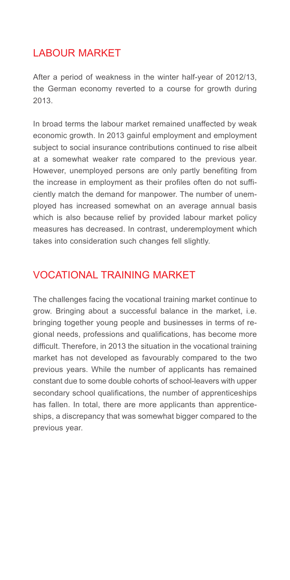### LABOUR MARKET

After a period of weakness in the winter half-year of 2012/13, the German economy reverted to a course for growth during 2013.

In broad terms the labour market remained unaffected by weak economic growth. In 2013 gainful employment and employment subject to social insurance contributions continued to rise albeit at a somewhat weaker rate compared to the previous year. However, unemployed persons are only partly benefiting from the increase in employment as their profiles often do not sufficiently match the demand for manpower. The number of unemployed has increased somewhat on an average annual basis which is also because relief by provided labour market policy measures has decreased. In contrast, underemployment which takes into consideration such changes fell slightly.

### VOCATIONAL TRAINING MARKET

The challenges facing the vocational training market continue to grow. Bringing about a successful balance in the market, i.e. bringing together young people and businesses in terms of regional needs, professions and qualifications, has become more difficult. Therefore, in 2013 the situation in the vocational training market has not developed as favourably compared to the two previous years. While the number of applicants has remained constant due to some double cohorts of school-leavers with upper secondary school qualifications, the number of apprenticeships has fallen. In total, there are more applicants than apprenticeships, a discrepancy that was somewhat bigger compared to the previous year.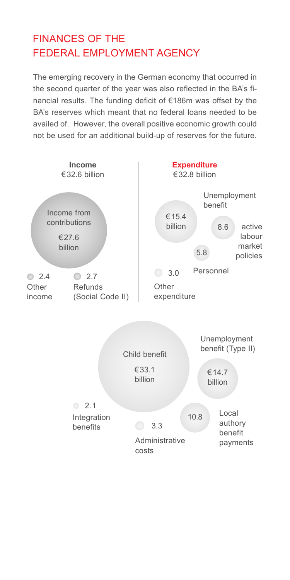# FINANCES OF THE FEDERAL EMPLOYMENT AGENCY

The emerging recovery in the German economy that occurred in the second quarter of the year was also reflected in the BA's financial results. The funding deficit of €186m was offset by the BA's reserves which meant that no federal loans needed to be availed of. However, the overall positive economic growth could not be used for an additional build-up of reserves for the future.

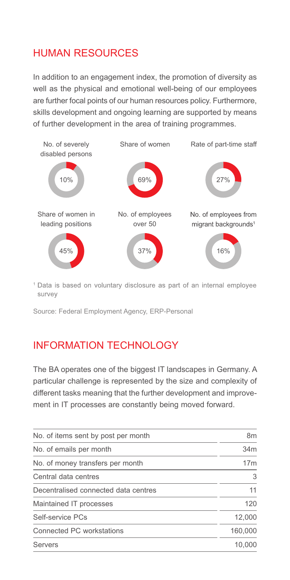# HUMAN RESOURCES

In addition to an engagement index, the promotion of diversity as well as the physical and emotional well-being of our employees are further focal points of our human resources policy. Furthermore, skills development and ongoing learning are supported by means of further development in the area of training programmes.



<sup>1</sup> Data is based on voluntary disclosure as part of an internal employee survey

Source: Federal Employment Agency, ERP-Personal

### INFORMATION TECHNOLOGY

The BA operates one of the biggest IT landscapes in Germany. A particular challenge is represented by the size and complexity of different tasks meaning that the further development and improvement in IT processes are constantly being moved forward.

| No. of items sent by post per month  | 8m              |
|--------------------------------------|-----------------|
| No. of emails per month              | 34m             |
| No. of money transfers per month     | 17 <sub>m</sub> |
| Central data centres                 | 3               |
| Decentralised connected data centres | 11              |
| Maintained IT processes              | 120             |
| Self-service PCs                     | 12,000          |
| Connected PC workstations            | 160,000         |
| Servers                              | 10.000          |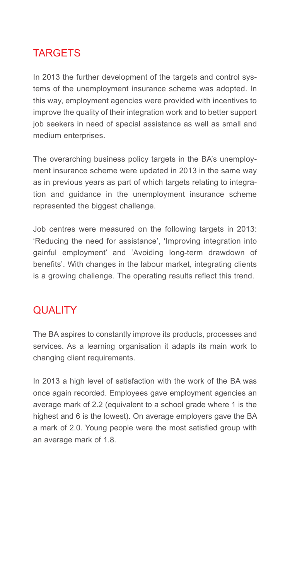# **TARGETS**

In 2013 the further development of the targets and control systems of the unemployment insurance scheme was adopted. In this way, employment agencies were provided with incentives to improve the quality of their integration work and to better support job seekers in need of special assistance as well as small and medium enterprises.

The overarching business policy targets in the BA's unemployment insurance scheme were updated in 2013 in the same way as in previous vears as part of which targets relating to integration and guidance in the unemployment insurance scheme represented the biggest challenge.

Job centres were measured on the following targets in 2013: 'Reducing the need for assistance', 'Improving integration into gainful employment' and 'Avoiding long-term drawdown of benefits'. With changes in the labour market, integrating clients is a growing challenge. The operating results reflect this trend.

### **QUALITY**

The BA aspires to constantly improve its products, processes and services. As a learning organisation it adapts its main work to changing client requirements.

In 2013 a high level of satisfaction with the work of the BA was once again recorded. Employees gave employment agencies an average mark of 2.2 (equivalent to a school grade where 1 is the highest and 6 is the lowest). On average employers gave the BA a mark of 2.0. Young people were the most satisfied group with an average mark of 1.8.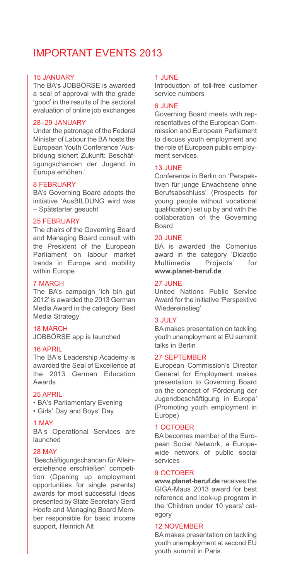### IMPORTANT EVENTS 2013

#### 15 JANUARY

The BA's JOBBÖRSE is awarded a seal of approval with the grade 'good' in the results of the sectoral evaluation of online job exchanges

#### 28-29 JANUARY

Under the patronage of the Federal Minister of Labour the BA hosts the European Youth Conference 'Ausbildung sichert Zukunft: Beschäftigungschancen der Jugend in Europa erhöhen.'

#### 8 FEBRUARY

BA's Governing Board adopts the initiative 'AusBILDUNG wird was – Spätstarter gesucht'

#### 25 FEBRUARY

The chairs of the Governing Board and Managing Board consult with the President of the European Parliament on labour market trends in Europe and mobility within Europe

#### 7 MARCH

The BA's campaign 'Ich bin gut 2012' is awarded the 2013 German Media Award in the category 'Best Media Strategy'

#### 18 MARCH

JOBBÖRSE app is launched

#### 16 APRIL

The BA's Leadership Academy is awarded the Seal of Excellence at the 2013 German Education Awards

#### 25 APRIL

- BA's Parliamentary Evening
- Girls' Day and Boys' Day

#### 1 MAY

BA's Operational Services are launched

#### 28 MAY

'Beschäftigungschancen für Alleinerziehende erschließen' competition (Opening up employment opportunities for single parents) awards for most successful ideas presented by State Secretary Gerd Hoofe and Managing Board Member responsible for basic income support, Heinrich Alt

#### 1 JUNE

Introduction of toll-free customer service numbers

#### 6 JUNE

Governing Board meets with representatives of the European Commission and European Parliament to discuss youth employment and the role of European public employment services

#### 13 JUNE

Conference in Berlin on 'Perspektiven für junge Erwachsene ohne Berufsabschluss' (Prospects for young people without vocational qualification) set up by and with the collaboration of the Governing Board

#### 20 JUNE

BA is awarded the Comenius award in the category 'Didactic **Multimedia www.planet-beruf.de**

#### 27 JUNE

United Nations Public Service Award for the initiative 'Perspektive Wiedereinstieg'

#### 3 JULY

BA makes presentation on tackling youth unemployment at EU summit talks in Berlin

#### 27 SEPTEMBER

European Commission's Director General for Employment makes presentation to Governing Board on the concept of 'Förderung der Jugendbeschäftigung in Europa' (Promoting youth employment in Europe)

#### 1 OCTOBER

BA becomes member of the European Social Network, a Europewide network of public social services

#### 9 OCTOBER

**www.planet-beruf.de** receives the GIGA-Maus 2013 award for best reference and look-up program in the 'Children under 10 years' category

#### 12 NOVEMBER

BA makes presentation on tackling youth unemployment at second EU youth summit in Paris